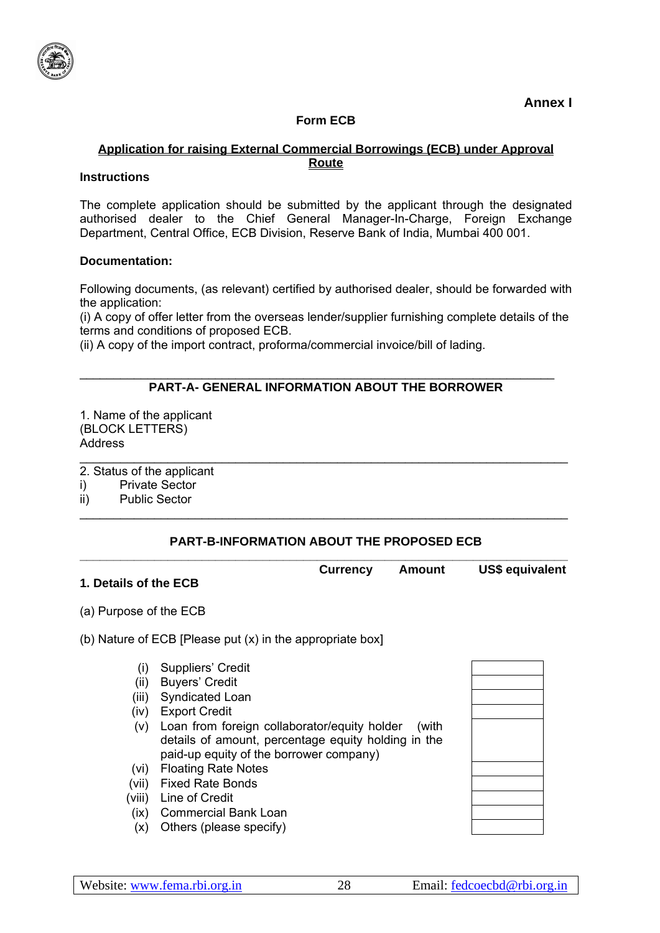

**Annex I** 

## **Form ECB**

### **Application for raising External Commercial Borrowings (ECB) under Approval Route**

### **Instructions**

The complete application should be submitted by the applicant through the designated authorised dealer to the Chief General Manager-In-Charge, Foreign Exchange Department, Central Office, ECB Division, Reserve Bank of India, Mumbai 400 001.

### **Documentation:**

Following documents, (as relevant) certified by authorised dealer, should be forwarded with the application:

(i) A copy of offer letter from the overseas lender/supplier furnishing complete details of the terms and conditions of proposed ECB.

(ii) A copy of the import contract, proforma/commercial invoice/bill of lading.

## **PART-A- GENERAL INFORMATION ABOUT THE BORROWER**

\_\_\_\_\_\_\_\_\_\_\_\_\_\_\_\_\_\_\_\_\_\_\_\_\_\_\_\_\_\_\_\_\_\_\_\_\_\_\_\_\_\_\_\_\_\_\_\_\_\_\_\_\_\_\_\_\_\_\_\_\_\_\_\_\_\_\_\_\_\_

1. Name of the applicant (BLOCK LETTERS) **Address** 

- 2. Status of the applicant
- i) Private Sector
- ii) Public Sector

# **PART-B-INFORMATION ABOUT THE PROPOSED ECB**

\_\_\_\_\_\_\_\_\_\_\_\_\_\_\_\_\_\_\_\_\_\_\_\_\_\_\_\_\_\_\_\_\_\_\_\_\_\_\_\_\_\_\_\_\_\_\_\_\_\_\_\_\_\_\_\_\_\_\_\_\_\_\_\_\_\_\_\_\_\_\_\_

\_\_\_\_\_\_\_\_\_\_\_\_\_\_\_\_\_\_\_\_\_\_\_\_\_\_\_\_\_\_\_\_\_\_\_\_\_\_\_\_\_\_\_\_\_\_\_\_\_\_\_\_\_\_\_\_\_\_\_\_\_\_\_\_\_\_\_\_\_\_\_\_

| 1. Details of the ECB        | <b>Currency Amount</b> | US\$ equivalent |
|------------------------------|------------------------|-----------------|
| $(\alpha)$ Durana of the FOD |                        |                 |

- (a) Purpose of the ECB
- (b) Nature of ECB [Please put (x) in the appropriate box]
	- (i) Suppliers' Credit
	- (ii) Buyers' Credit
	- (iii) Syndicated Loan
	- (iv) Export Credit
	- (v) Loan from foreign collaborator/equity holder (with details of amount, percentage equity holding in the paid-up equity of the borrower company)
	- (vi) Floating Rate Notes
	- (vii) Fixed Rate Bonds
	- (viii) Line of Credit
	- (ix) Commercial Bank Loan
	- (x) Others (please specify)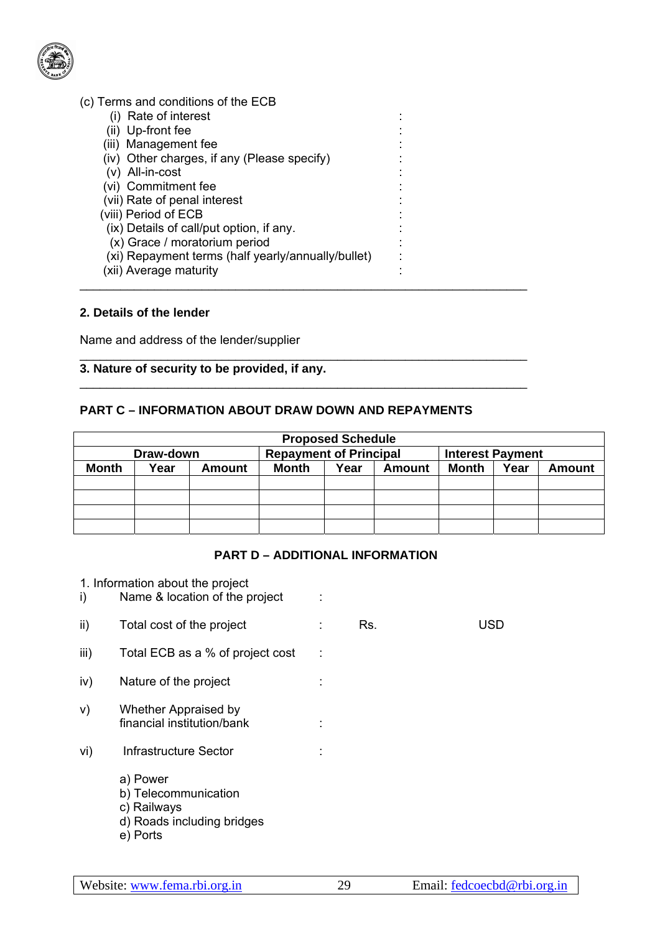

| (c) Terms and conditions of the ECB                |  |  |
|----------------------------------------------------|--|--|
| (i) Rate of interest                               |  |  |
| (ii) Up-front fee                                  |  |  |
| (iii) Management fee                               |  |  |
| (iv) Other charges, if any (Please specify)        |  |  |
| (v) All-in-cost                                    |  |  |
| (vi) Commitment fee                                |  |  |
| (vii) Rate of penal interest                       |  |  |
| (viii) Period of ECB                               |  |  |
| (ix) Details of call/put option, if any.           |  |  |
| (x) Grace / moratorium period                      |  |  |
| (xi) Repayment terms (half yearly/annually/bullet) |  |  |
| (xii) Average maturity                             |  |  |
|                                                    |  |  |

### **2. Details of the lender**

Name and address of the lender/supplier

### **3. Nature of security to be provided, if any.**

## **PART C – INFORMATION ABOUT DRAW DOWN AND REPAYMENTS**

\_\_\_\_\_\_\_\_\_\_\_\_\_\_\_\_\_\_\_\_\_\_\_\_\_\_\_\_\_\_\_\_\_\_\_\_\_\_\_\_\_\_\_\_\_\_\_\_\_\_\_\_\_\_\_\_\_\_\_\_\_\_\_\_\_\_

\_\_\_\_\_\_\_\_\_\_\_\_\_\_\_\_\_\_\_\_\_\_\_\_\_\_\_\_\_\_\_\_\_\_\_\_\_\_\_\_\_\_\_\_\_\_\_\_\_\_\_\_\_\_\_\_\_\_\_\_\_\_\_\_\_\_

| <b>Proposed Schedule</b> |      |               |                               |      |        |                         |      |               |
|--------------------------|------|---------------|-------------------------------|------|--------|-------------------------|------|---------------|
| Draw-down                |      |               | <b>Repayment of Principal</b> |      |        | <b>Interest Payment</b> |      |               |
| <b>Month</b>             | Year | <b>Amount</b> | Month                         | Year | Amount | Month                   | Year | <b>Amount</b> |
|                          |      |               |                               |      |        |                         |      |               |
|                          |      |               |                               |      |        |                         |      |               |
|                          |      |               |                               |      |        |                         |      |               |
|                          |      |               |                               |      |        |                         |      |               |

#### **PART D – ADDITIONAL INFORMATION**

1. Information about the project i) Name & location of the project : ii) Total cost of the project : Rs. USD iii) Total ECB as a % of project cost : iv) Nature of the project : v) Whether Appraised by financial institution/bank : vi) Infrastructure Sector : a) Power b) Telecommunication c) Railways d) Roads including bridges e) Ports